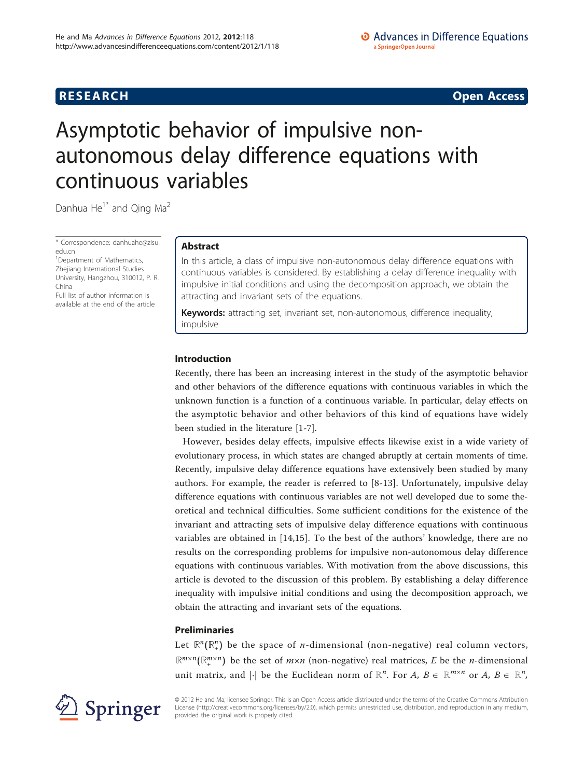**RESEARCH CONSTRUCTION CONSTRUCTS** 

# Asymptotic behavior of impulsive nonautonomous delay difference equations with continuous variables

Danhua He<sup>1\*</sup> and Oing Ma<sup>2</sup>

\* Correspondence: [danhuahe@zisu.](mailto:danhuahe@zisu.edu.cn) [edu.cn](mailto:danhuahe@zisu.edu.cn)

<sup>1</sup> Department of Mathematics, Zheijang International Studies University, Hangzhou, 310012, P. R. China

Full list of author information is available at the end of the article

# Abstract

In this article, a class of impulsive non-autonomous delay difference equations with continuous variables is considered. By establishing a delay difference inequality with impulsive initial conditions and using the decomposition approach, we obtain the attracting and invariant sets of the equations.

Keywords: attracting set, invariant set, non-autonomous, difference inequality, impulsive

# Introduction

Recently, there has been an increasing interest in the study of the asymptotic behavior and other behaviors of the difference equations with continuous variables in which the unknown function is a function of a continuous variable. In particular, delay effects on the asymptotic behavior and other behaviors of this kind of equations have widely been studied in the literature [[1-7\]](#page-8-0).

However, besides delay effects, impulsive effects likewise exist in a wide variety of evolutionary process, in which states are changed abruptly at certain moments of time. Recently, impulsive delay difference equations have extensively been studied by many authors. For example, the reader is referred to [[8-13\]](#page-8-0). Unfortunately, impulsive delay difference equations with continuous variables are not well developed due to some theoretical and technical difficulties. Some sufficient conditions for the existence of the invariant and attracting sets of impulsive delay difference equations with continuous variables are obtained in [[14,15\]](#page-8-0). To the best of the authors' knowledge, there are no results on the corresponding problems for impulsive non-autonomous delay difference equations with continuous variables. With motivation from the above discussions, this article is devoted to the discussion of this problem. By establishing a delay difference inequality with impulsive initial conditions and using the decomposition approach, we obtain the attracting and invariant sets of the equations.

# Preliminaries

Let  $\mathbb{R}^n(\mathbb{R}^n_+)$  be the space of *n*-dimensional (non-negative) real column vectors,  $\mathbb{R}^{m \times n}(\mathbb{R}^{m \times n})$  be the set of  $m \times n$  (non-negative) real matrices, E be the *n*-dimensional unit matrix, and  $|\cdot|$  be the Euclidean norm of  $\mathbb{R}^n$ . For  $A, B \in \mathbb{R}^{m \times n}$  or  $A, B \in \mathbb{R}^n$ ,



© 2012 He and Ma; licensee Springer. This is an Open Access article distributed under the terms of the Creative Commons Attribution License [\(http://creativecommons.org/licenses/by/2.0](http://creativecommons.org/licenses/by/2.0)), which permits unrestricted use, distribution, and reproduction in any medium, provided the original work is properly cited.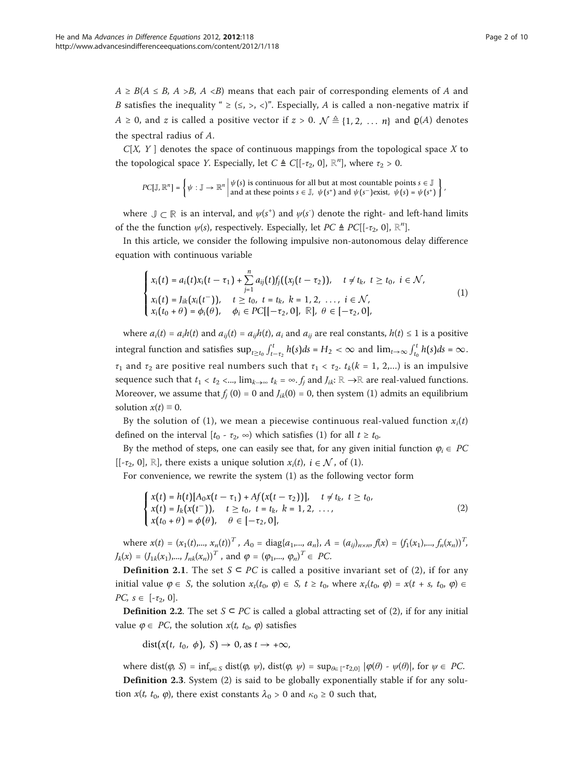$A \geq B(A \leq B, A \geq B, A \leq B)$  means that each pair of corresponding elements of A and B satisfies the inequality "  $\geq$  ( $\leq$ ,  $\geq$ ,  $\lt$ )". Especially, A is called a non-negative matrix if  $A ≥ 0$ , and z is called a positive vector if  $z > 0$ .  $\mathcal{N} \triangleq \{1, 2, ..., n\}$  and  $\mathcal{Q}(A)$  denotes the spectral radius of A.

 $C[X, Y]$  denotes the space of continuous mappings from the topological space X to the topological space *Y*. Especially, let  $C \triangleq C[[-\tau_2, 0], \mathbb{R}^n]$ , where  $\tau_2 > 0$ .

$$
PC[\mathbb{J}, \mathbb{R}^n] = \left\{ \psi : \mathbb{J} \to \mathbb{R}^n \middle| \begin{matrix} \psi(s) \text{ is continuous for all but at most countable points } s \in \mathbb{J} \\ \text{and at these points } s \in \mathbb{J}, \ \psi(s^+) \text{ and } \psi(s^-) \text{ exist, } \psi(s) = \psi(s^+) \end{matrix} \right\}
$$

where  $\mathbb{J} \subset \mathbb{R}$  is an interval, and  $\psi(s^+)$  and  $\psi(s)$  denote the right- and left-hand limits of the the function  $\psi(s)$ , respectively. Especially, let  $PC \triangleq PC[[-\tau_2, 0], \mathbb{R}^n]$ .

In this article, we consider the following impulsive non-autonomous delay difference equation with continuous variable

$$
\begin{cases}\n x_i(t) = a_i(t)x_i(t-\tau_1) + \sum_{j=1}^n a_{ij}(t)f_j((x_j(t-\tau_2)), \quad t \neq t_k, \ t \geq t_0, \ i \in \mathcal{N}, \\
x_i(t) = J_{ik}(x_i(t^-)), \quad t \geq t_0, \ t = t_k, \ k = 1, 2, \ \ldots, \ i \in \mathcal{N}, \\
x_i(t_0 + \theta) = \phi_i(\theta), \quad \phi_i \in PC[[-\tau_2, 0], \ \mathbb{R}], \ \theta \in [-\tau_2, 0],\n\end{cases}\n\tag{1}
$$

where  $a_i(t) = a_i h(t)$  and  $a_{ii}(t) = a_{ii} h(t)$ ,  $a_i$  and  $a_{ii}$  are real constants,  $h(t) \le 1$  is a positive integral function and satisfies  $\sup_{t \ge t_0} \int_{t-\tau_2}^t h(s) ds = H_2 < \infty$  and  $\lim_{t \to \infty} \int_{t_0}^t h(s) ds = \infty$ .  $\tau_1$  and  $\tau_2$  are positive real numbers such that  $\tau_1 < \tau_2$ .  $t_k(k = 1, 2,...)$  is an impulsive sequence such that  $t_1 < t_2 < ...$ ,  $\lim_{k \to \infty} t_k = \infty$ . f<sub>j</sub> and  $J_{ik}: \mathbb{R} \to \mathbb{R}$  are real-valued functions. Moreover, we assume that  $f_i(0) = 0$  and  $J_{ik}(0) = 0$ , then system (1) admits an equilibrium solution  $x(t) \equiv 0$ .

By the solution of (1), we mean a piecewise continuous real-valued function  $x_i(t)$ defined on the interval  $[t_0 - \tau_2, \infty)$  which satisfies (1) for all  $t \geq t_0$ .

By the method of steps, one can easily see that, for any given initial function  $\varphi_i \in PC$ [[-τ<sub>2</sub>, 0], R], there exists a unique solution  $x_i(t)$ ,  $i \in \mathcal{N}$ , of (1).

For convenience, we rewrite the system (1) as the following vector form

$$
\begin{cases}\n x(t) = h(t)[A_0x(t - \tau_1) + Af(x(t - \tau_2))], & t \neq t_k, \ t \geq t_0, \\
x(t) = J_k(x(t^-)), & t \geq t_0, \ t = t_k, \ k = 1, 2, \dots, \\
x(t_0 + \theta) = \phi(\theta), & \theta \in [-\tau_2, 0],\n\end{cases}
$$
\n(2)

where  $x(t) = (x_1(t),..., x_n(t))^T$ ,  $A_0 = \text{diag}\{a_1,..., a_n\}$ ,  $A = (a_{ij})_{n \times n}$ ,  $f(x) = (f_1(x_1),..., f_n(x_n))^T$ ,  $J_k(x) = (J_{1k}(x_1),..., J_{nk}(x_n))^T$ , and  $\varphi = (\varphi_1,..., \varphi_n)^T \in PC$ .

**Definition 2.1.** The set *S* ⊂ *PC* is called a positive invariant set of (2), if for any initial value  $\varphi \in S$ , the solution  $x_t(t_0, \varphi) \in S$ ,  $t \ge t_0$ , where  $x_t(t_0, \varphi) = x(t + s, t_0, \varphi) \in S$  $PC, s \in [-\tau_2, 0].$ 

**Definition 2.2.** The set  $S \subseteq PC$  is called a global attracting set of (2), if for any initial value  $\varphi \in PC$ , the solution  $x(t, t_0, \varphi)$  satisfies

 $dist(x(t, t_0, \phi), S) \rightarrow 0$ , as  $t \rightarrow +\infty$ ,

where dist( $\varphi$ , S) = inf<sub> $\psi \in S$ </sub> dist( $\varphi$ ,  $\psi$ ), dist( $\varphi$ ,  $\psi$ ) = sup<sub> $\theta \in [-\tau_{2,0}]$ </sub>  $|\varphi(\theta) - \psi(\theta)|$ , for  $\psi \in PC$ . Definition 2.3. System (2) is said to be globally exponentially stable if for any solution  $x(t, t_0, \varphi)$ , there exist constants  $\lambda_0 > 0$  and  $\kappa_0 \ge 0$  such that,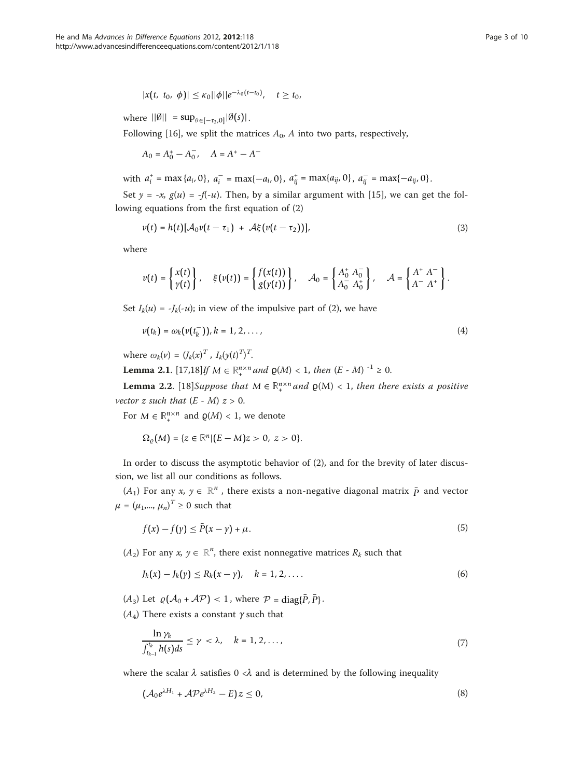$$
|x(t, t_0, \phi)| \leq \kappa_0 ||\phi|| e^{-\lambda_0 (t-t_0)}, \quad t \geq t_0,
$$

where  $||\emptyset|| = \sup_{\theta \in [-\tau_2,0]} |\emptyset(s)|$ .

Following [[16\]](#page-8-0), we split the matrices  $A_0$ , A into two parts, respectively,

 $A_0 = A_0^+ - A_0^-$ ,  $A = A^+ - A^-$ 

with  $a_i^+ = \max\{a_i, 0\}$ ,  $a_i^- = \max\{-a_i, 0\}$ ,  $a_{ij}^+ = \max\{a_{ij}, 0\}$ ,  $a_{ij}^- = \max\{-a_{ij}, 0\}$ .

Set  $y = -x$ ,  $g(u) = -f(-u)$ . Then, by a similar argument with [[15\]](#page-8-0), we can get the following equations from the first equation of (2)

$$
v(t) = h(t)[A_0v(t - \tau_1) + A\xi(v(t - \tau_2))],
$$
\n(3)

where

$$
v(t) = \begin{Bmatrix} x(t) \\ y(t) \end{Bmatrix}, \quad \xi(v(t)) = \begin{Bmatrix} f(x(t)) \\ g(y(t)) \end{Bmatrix}, \quad \mathcal{A}_0 = \begin{Bmatrix} A_0^+ A_0^- \\ A_0^- A_0^+ \end{Bmatrix}, \quad \mathcal{A} = \begin{Bmatrix} A^+ A^- \\ A^- A^+ \end{Bmatrix}.
$$

Set  $I_k(u) = -J_k(-u)$ ; in view of the impulsive part of (2), we have

$$
\nu(t_k) = \omega_k(\nu(t_k^-)), k = 1, 2, \ldots,
$$
\n
$$
(4)
$$

where  $\omega_k(\nu) = (J_k(x)^T, I_k(y(t)^T)^T)$ .

**Lemma 2.1.** [\[17,18\]](#page-9-0)If *M* ∈  $\mathbb{R}^{n \times n}$  and  $\mathbf{p}(M)$  < 1, then (*E* - *M*) <sup>-1</sup> ≥ 0.

**Lemma 2.2.** [[18](#page-9-0)]Suppose that  $M \in \mathbb{R}^{n \times n}$  and  $\varrho(M) < 1$ , then there exists a positive vector z such that  $(E - M)$   $z > 0$ .

For  $M \in \mathbb{R}^{n \times n}$  and  $\varrho(M) < 1$ , we denote

$$
\Omega_{\varrho}(M) = \{z \in \mathbb{R}^n | (E - M)z > 0, \ z > 0\}.
$$

In order to discuss the asymptotic behavior of (2), and for the brevity of later discussion, we list all our conditions as follows.

(A<sub>1</sub>) For any  $x, y \in \mathbb{R}^n$ , there exists a non-negative diagonal matrix  $\bar{p}$  and vector  $\mu = (\mu_1, ..., \mu_n)^T \ge 0$  such that

$$
f(x) - f(y) \le \bar{P}(x - y) + \mu. \tag{5}
$$

 $(A_2)$  For any  $x, y \in \mathbb{R}^n$ , there exist nonnegative matrices  $R_k$  such that

$$
J_k(x) - J_k(y) \le R_k(x - y), \quad k = 1, 2, ....
$$
 (6)

 $(A_3)$  Let  $\rho(A_0 + AP) < 1$ , where  $P = \text{diag}\{\bar{P}, \bar{P}\}.$ 

 $(A_4)$  There exists a constant  $\gamma$  such that

$$
\frac{\ln \gamma_k}{\int_{t_{k-1}}^{t_k} h(s) ds} \leq \gamma < \lambda, \quad k = 1, 2, \dots, \tag{7}
$$

where the scalar  $\lambda$  satisfies 0 < $\lambda$  and is determined by the following inequality

$$
(\mathcal{A}_0 e^{\lambda H_1} + \mathcal{A} \mathcal{P} e^{\lambda H_2} - E) z \leq 0,
$$
\n<sup>(8)</sup>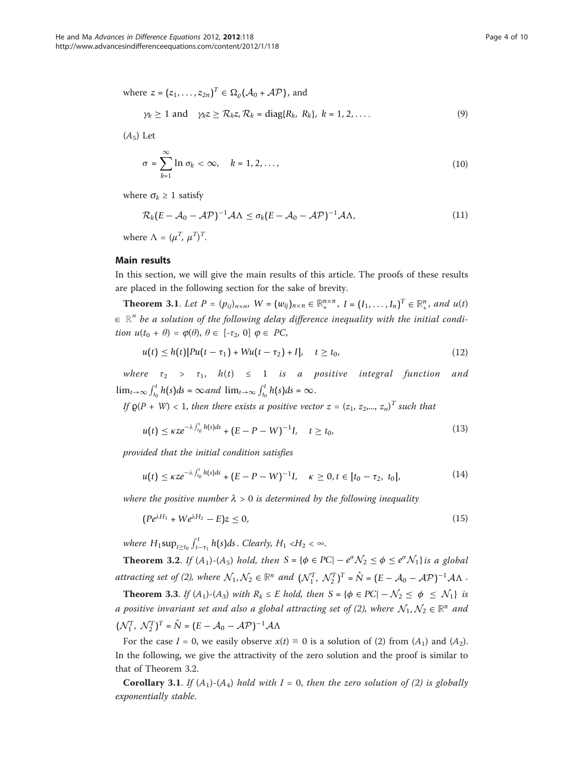where 
$$
z = (z_1, ..., z_{2n})^T \in \Omega_e(\mathcal{A}_0 + \mathcal{A}\mathcal{P})
$$
, and  
\n $\gamma_k \ge 1$  and  $\gamma_k z \ge \mathcal{R}_k z, \mathcal{R}_k = \text{diag}\{R_k, R_k\}, k = 1, 2, ...$  (9)

 $(A_5)$  Let

$$
\sigma = \sum_{k=1}^{\infty} \ln \sigma_k < \infty, \quad k = 1, 2, \dots,
$$
\n<sup>(10)</sup>

where  $\sigma_k \geq 1$  satisfy

$$
\mathcal{R}_k(E - \mathcal{A}_0 - \mathcal{A}\mathcal{P})^{-1}\mathcal{A}\Lambda \le \sigma_k(E - \mathcal{A}_0 - \mathcal{A}\mathcal{P})^{-1}\mathcal{A}\Lambda,\tag{11}
$$

where  $\Lambda = (\mu^T, \mu^T)^T$ .

# Main results

In this section, we will give the main results of this article. The proofs of these results are placed in the following section for the sake of brevity.

**Theorem 3.1.** Let  $P = (p_{ij})_{n \times n}$ ,  $W = (w_{ij})_{n \times n} \in \mathbb{R}^{n \times n}$ ,  $I = (I_1, \ldots, I_n)^T \in \mathbb{R}^n$ , and  $u(t)$  $\in \mathbb{R}^n$  be a solution of the following delay difference inequality with the initial condition  $u(t_0 + \theta) = \varphi(\theta), \theta \in [-\tau_2, 0] \varphi \in PC$ ,

$$
u(t) \le h(t)[Pu(t - \tau_1) + Wu(t - \tau_2) + I], \quad t \ge t_0,
$$
\n(12)

where  $\tau_2 > \tau_1$ ,  $h(t) \leq 1$  is a positive integral function and  $\lim_{t\to\infty} \int_{t_0}^t h(s)ds = \infty$  and  $\lim_{t\to\infty} \int_{t_0}^t h(s)ds = \infty$ .

If  $\varrho(P+W) < 1$ , then there exists a positive vector  $z = (z_1, z_2,..., z_n)^T$  such that

$$
u(t) \le \kappa z e^{-\lambda \int_{t_0}^t h(s) ds} + (E - P - W)^{-1} I, \quad t \ge t_0,
$$
\n(13)

provided that the initial condition satisfies

$$
u(t) \leq \kappa z e^{-\lambda \int_{t_0}^t h(s)ds} + (E - P - W)^{-1}I, \quad \kappa \geq 0, t \in [t_0 - \tau_2, t_0], \tag{14}
$$

where the positive number  $\lambda > 0$  is determined by the following inequality

$$
(P e^{\lambda H_1} + W e^{\lambda H_2} - E) z \le 0,
$$
\n(15)

where  $H_1 \sup_{t \geq t_0} \int_{t-\tau_1}^t h(s) ds$ . Clearly,  $H_1 \langle H_2 \rangle \langle \infty$ .

**Theorem 3.2.** If  $(A_1)$ - $(A_5)$  hold, then  $S = {\phi \in PC} - e^{\sigma} \mathcal{N}_2 \leq \phi \leq e^{\sigma} \mathcal{N}_1$  is a global attracting set of (2), where  $\mathcal{N}_1, \mathcal{N}_2 \in \mathbb{R}^n$  and  $(\mathcal{N}_1^T, \mathcal{N}_2^T)^T = \hat{N} = (E - \mathcal{A}_0 - \mathcal{A}\mathcal{P})^{-1}\mathcal{A}\Lambda$ .

**Theorem 3.3.** If  $(A_1)$ - $(A_3)$  with  $R_k \leq E$  hold, then  $S = {\phi \in PC} - \mathcal{N}_2 \leq \phi \leq \mathcal{N}_1$  is a positive invariant set and also a global attracting set of (2), where  $\mathcal{N}_1, \mathcal{N}_2 \in \mathbb{R}^n$  and  $(\mathcal{N}_1^T, \ \mathcal{N}_2^T)^T = \hat{N} = (E - \mathcal{A}_0 - \mathcal{A}\mathcal{P})^{-1}\mathcal{A}\Lambda$ 

For the case  $I = 0$ , we easily observe  $x(t) \equiv 0$  is a solution of (2) from  $(A_1)$  and  $(A_2)$ . In the following, we give the attractivity of the zero solution and the proof is similar to that of Theorem 3.2.

**Corollary 3.1.** If  $(A_1)$ - $(A_4)$  hold with I = 0, then the zero solution of (2) is globally exponentially stable.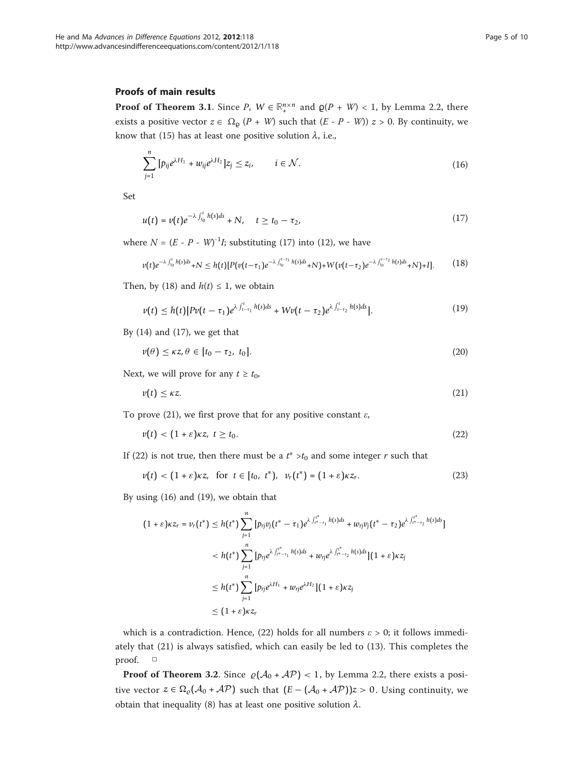# Proofs of main results

**Proof of Theorem 3.1.** Since P,  $W \in \mathbb{R}^{n \times n}$  and  $\varrho(P + W) < 1$ , by Lemma 2.2, there exists a positive vector  $z \in \Omega_{\text{p}} (P + W)$  such that  $(E - P - W)$ )  $z > 0$ . By continuity, we know that (15) has at least one positive solution  $\lambda$ , i.e.,

$$
\sum_{j=1}^{n} \left[ p_{ij} e^{\lambda H_1} + w_{ij} e^{\lambda H_2} \right] z_j \le z_i, \qquad i \in \mathcal{N}.
$$
 (16)

Set

$$
u(t) = v(t)e^{-\lambda \int_{t_0}^t h(s)ds} + N, \quad t \ge t_0 - \tau_2,
$$
\n(17)

where  $N = (E - P - W)^{-1}I$ ; substituting (17) into (12), we have

$$
v(t)e^{-\lambda \int_{t_0}^t h(s)ds} + N \le h(t)[P(v(t-\tau_1)e^{-\lambda \int_{t_0}^{t-\tau_1} h(s)ds} + N) + W(v(t-\tau_2)e^{-\lambda \int_{t_0}^{t-\tau_2} h(s)ds} + N) + I].
$$
 (18)

Then, by (18) and  $h(t) \leq 1$ , we obtain

$$
v(t) \leq h(t)[Pv(t-\tau_1)e^{\lambda \int_{t-\tau_1}^t h(s)ds} + Wv(t-\tau_2)e^{\lambda \int_{t-\tau_2}^t h(s)ds}].
$$
\n(19)

By  $(14)$  and  $(17)$ , we get that

$$
v(\theta) \leq \kappa z, \theta \in [t_0 - \tau_2, t_0]. \tag{20}
$$

Next, we will prove for any  $t \geq t_0$ ,

$$
v(t) \leq \kappa z. \tag{21}
$$

To prove (21), we first prove that for any positive constant  $\varepsilon$ ,

$$
v(t) < (1+\varepsilon)\kappa z, \ t \geq t_0. \tag{22}
$$

If (22) is not true, then there must be a  $t^* > t_0$  and some integer r such that

$$
v(t) < (1+\varepsilon)\kappa z, \quad \text{for } t \in [t_0, t^*), \quad v_r(t^*) = (1+\varepsilon)\kappa z_r. \tag{23}
$$

By using (16) and (19), we obtain that

$$
(1+\varepsilon)\kappa z_r = v_r(t^*) \leq h(t^*) \sum_{j=1}^n \left[ p_{rj}v_j(t^* - \tau_1)e^{\lambda \int_{t^* - \tau_1}^{t^*} h(s)ds} + w_{rj}v_j(t^* - \tau_2)e^{\lambda \int_{t^* - \tau_2}^{t^*} h(s)ds} \right]
$$
  

$$
< h(t^*) \sum_{j=1}^n \left[ p_{rj}e^{\lambda \int_{t^* - \tau_1}^{t^*} h(s)ds} + w_{rj}e^{\lambda \int_{t^* - \tau_2}^{t^*} h(s)ds} \right](1+\varepsilon)\kappa z_j
$$
  

$$
\leq h(t^*) \sum_{j=1}^n \left[ p_{rj}e^{\lambda H_1} + w_{rj}e^{\lambda H_2} \right](1+\varepsilon)\kappa z_j
$$
  

$$
\leq (1+\varepsilon)\kappa z_r
$$

which is a contradiction. Hence, (22) holds for all numbers  $\varepsilon > 0$ ; it follows immediately that (21) is always satisfied, which can easily be led to (13). This completes the proof. □

**Proof of Theorem 3.2.** Since  $\rho(A_0 + AP) < 1$ , by Lemma 2.2, there exists a positive vector  $z \in \Omega$ <sub>*e*</sub>( $A_0 + A\mathcal{P}$ ) such that  $(E - (A_0 + A\mathcal{P}))z > 0$ . Using continuity, we obtain that inequality (8) has at least one positive solution  $\lambda$ .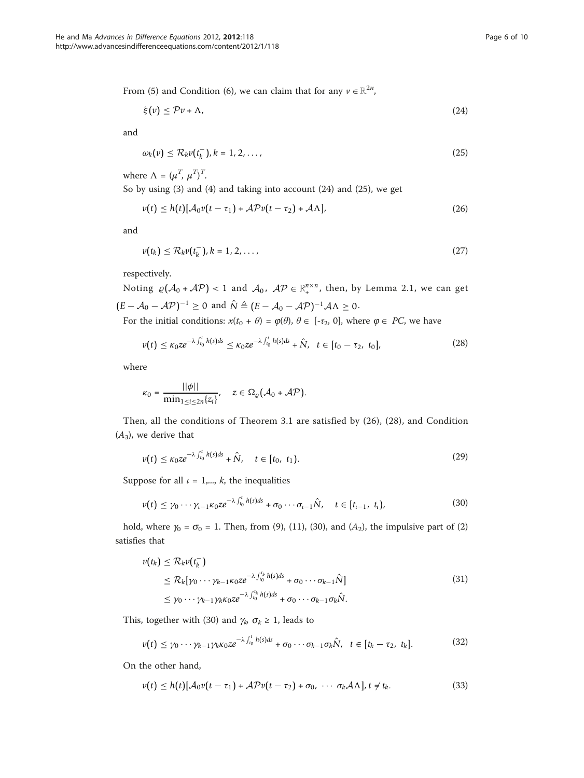From (5) and Condition (6), we can claim that for any  $v \in \mathbb{R}^{2n}$ ,

$$
\xi(v) \le \mathcal{P}v + \Lambda,\tag{24}
$$

and

$$
\omega_k(\nu) \leq \mathcal{R}_k \nu(t_k^-), k = 1, 2, \dots,
$$
\n(25)

where  $\Lambda = (\mu^T, \mu^T)^T$ .

So by using (3) and (4) and taking into account (24) and (25), we get

$$
v(t) \leq h(t)[\mathcal{A}_0 v(t-\tau_1) + \mathcal{A} \mathcal{P} v(t-\tau_2) + \mathcal{A} \Lambda], \tag{26}
$$

and

$$
\nu(t_k) \leq \mathcal{R}_k \nu(t_k^-), k = 1, 2, \dots,
$$
\n<sup>(27)</sup>

respectively.

Noting  $\rho(A_0 + AP) < 1$  and  $A_0$ ,  $AP \in \mathbb{R}_+^{n \times n}$ , then, by Lemma 2.1, we can get  $(E - A_0 - \mathcal{A}P)^{-1} \ge 0$  and  $\hat{N} \triangleq (E - A_0 - \mathcal{A}P)^{-1} \mathcal{A}\Lambda \ge 0$ .

For the initial conditions:  $x(t_0 + \theta) = \varphi(\theta), \theta \in [-\tau_2, 0]$ , where  $\varphi \in PC$ , we have

$$
v(t) \le \kappa_0 z e^{-\lambda \int_{t_0}^t h(s) ds} \le \kappa_0 z e^{-\lambda \int_{t_0}^t h(s) ds} + \hat{N}, \quad t \in [t_0 - \tau_2, \ t_0], \tag{28}
$$

where

$$
\kappa_0 = \frac{||\phi||}{\min_{1 \leq i \leq 2n} \{z_i\}}, \quad z \in \Omega_{\varrho}(\mathcal{A}_0 + \mathcal{AP}).
$$

Then, all the conditions of Theorem 3.1 are satisfied by (26), (28), and Condition  $(A_3)$ , we derive that

$$
\nu(t) \le \kappa_0 z e^{-\lambda \int_{t_0}^t h(s) ds} + \hat{N}, \quad t \in [t_0, t_1). \tag{29}
$$

Suppose for all  $\iota = 1,..., k$ , the inequalities

$$
\nu(t) \leq \gamma_0 \cdots \gamma_{t-1} \kappa_0 z e^{-\lambda \int_{t_0}^t h(s) ds} + \sigma_0 \cdots \sigma_{t-1} \hat{N}, \quad t \in [t_{t-1}, t_t), \tag{30}
$$

hold, where  $\gamma_0 = \sigma_0 = 1$ . Then, from (9), (11), (30), and (A<sub>2</sub>), the impulsive part of (2) satisfies that

$$
\nu(t_k) \leq \mathcal{R}_k \nu(t_k^-) \n\leq \mathcal{R}_k [\gamma_0 \cdots \gamma_{k-1} \kappa_0 z e^{-\lambda \int_{t_0}^{t_k} h(s) ds} + \sigma_0 \cdots \sigma_{k-1} \hat{N}] \n\leq \gamma_0 \cdots \gamma_{k-1} \gamma_k \kappa_0 z e^{-\lambda \int_{t_0}^{t_k} h(s) ds} + \sigma_0 \cdots \sigma_{k-1} \sigma_k \hat{N}.
$$
\n(31)

This, together with (30) and  $\gamma_k \sigma_k \geq 1$ , leads to

$$
v(t) \leq \gamma_0 \cdots \gamma_{k-1} \gamma_k \kappa_0 z e^{-\lambda \int_{t_0}^t h(s) ds} + \sigma_0 \cdots \sigma_{k-1} \sigma_k \hat{N}, \quad t \in [t_k - \tau_2, t_k]. \tag{32}
$$

On the other hand,

$$
v(t) \leq h(t)[\mathcal{A}_0 v(t-\tau_1) + \mathcal{A} \mathcal{P} v(t-\tau_2) + \sigma_0, \cdots \sigma_k \mathcal{A} \Lambda], t \neq t_k.
$$
 (33)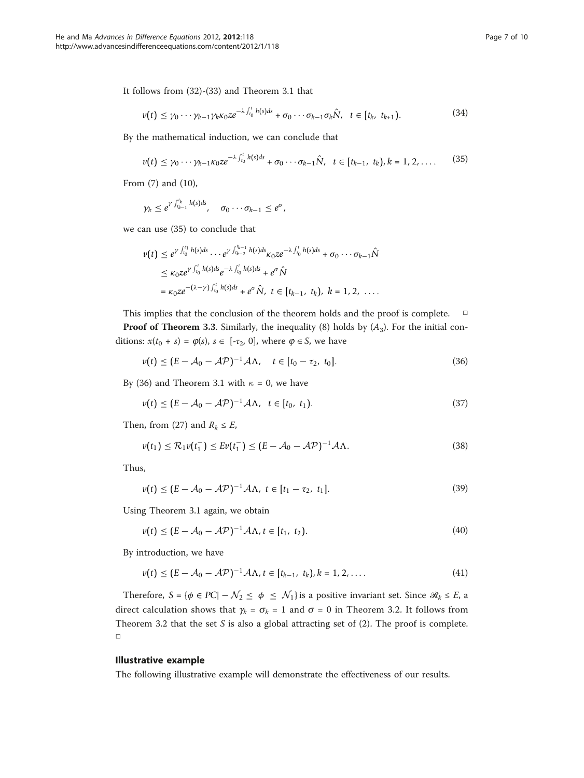It follows from (32)-(33) and Theorem 3.1 that

$$
\nu(t) \leq \gamma_0 \cdots \gamma_{k-1} \gamma_k \kappa_0 z e^{-\lambda \int_{t_0}^t h(s) ds} + \sigma_0 \cdots \sigma_{k-1} \sigma_k \hat{N}, \quad t \in [t_k, t_{k+1}). \tag{34}
$$

By the mathematical induction, we can conclude that

$$
v(t) \leq \gamma_0 \cdots \gamma_{k-1} \kappa_0 z e^{-\lambda \int_{t_0}^t h(s) ds} + \sigma_0 \cdots \sigma_{k-1} \hat{N}, \quad t \in [t_{k-1}, t_k), k = 1, 2, \ldots
$$
 (35)

From (7) and (10),

$$
\gamma_k \leq e^{\gamma \int_{t_{k-1}}^{t_k} h(s) ds}, \quad \sigma_0 \cdots \sigma_{k-1} \leq e^{\sigma},
$$

we can use (35) to conclude that

$$
\nu(t) \leq e^{\gamma \int_{t_0}^{t_1} h(s) ds} \cdots e^{\gamma \int_{t_{k-2}}^{t_{k-1}} h(s) ds} \kappa_0 z e^{-\lambda \int_{t_0}^t h(s) ds} + \sigma_0 \cdots \sigma_{k-1} \hat{N}
$$
  
\n
$$
\leq \kappa_0 z e^{\gamma \int_{t_0}^t h(s) ds} e^{-\lambda \int_{t_0}^t h(s) ds} + e^{\sigma \hat{N}}
$$
  
\n
$$
= \kappa_0 z e^{-(\lambda - \gamma) \int_{t_0}^t h(s) ds} + e^{\sigma \hat{N}}, \ t \in [t_{k-1}, t_k), \ k = 1, 2, \ \dots.
$$

This implies that the conclusion of the theorem holds and the proof is complete. □ **Proof of Theorem 3.3.** Similarly, the inequality (8) holds by  $(A_3)$ . For the initial conditions:  $x(t_0 + s) = \varphi(s), s \in [-\tau_2, 0]$ , where  $\varphi \in S$ , we have

$$
v(t) \le (E - \mathcal{A}_0 - \mathcal{A}\mathcal{P})^{-1} \mathcal{A}\Lambda, \quad t \in [t_0 - \tau_2, t_0]. \tag{36}
$$

By (36) and Theorem 3.1 with  $\kappa = 0$ , we have

$$
v(t) \le (E - \mathcal{A}_0 - \mathcal{A}\mathcal{P})^{-1} \mathcal{A}\Lambda, \quad t \in [t_0, t_1). \tag{37}
$$

Then, from (27) and  $R_k \leq E$ ,

$$
\nu(t_1) \leq \mathcal{R}_1 \nu(t_1^-) \leq E \nu(t_1^-) \leq (E - \mathcal{A}_0 - \mathcal{A} \mathcal{P})^{-1} \mathcal{A} \Lambda. \tag{38}
$$

Thus,

$$
v(t) \le (E - \mathcal{A}_0 - \mathcal{A}\mathcal{P})^{-1} \mathcal{A}\Lambda, \ t \in [t_1 - \tau_2, \ t_1]. \tag{39}
$$

Using Theorem 3.1 again, we obtain

$$
v(t) \le (E - \mathcal{A}_0 - \mathcal{A}\mathcal{P})^{-1} \mathcal{A}\Lambda, t \in [t_1, t_2). \tag{40}
$$

By introduction, we have

$$
v(t) \le (E - A_0 - A\mathcal{P})^{-1} A\Lambda, t \in [t_{k-1}, t_k), k = 1, 2, .... \tag{41}
$$

Therefore,  $S = \{\phi \in PC \mid -\mathcal{N}_2 \le \phi \le \mathcal{N}_1\}$  is a positive invariant set. Since  $\mathcal{R}_k \le E$ , a direct calculation shows that  $\gamma_k = \sigma_k = 1$  and  $\sigma = 0$  in Theorem 3.2. It follows from Theorem 3.2 that the set  $S$  is also a global attracting set of (2). The proof is complete. □

## Illustrative example

The following illustrative example will demonstrate the effectiveness of our results.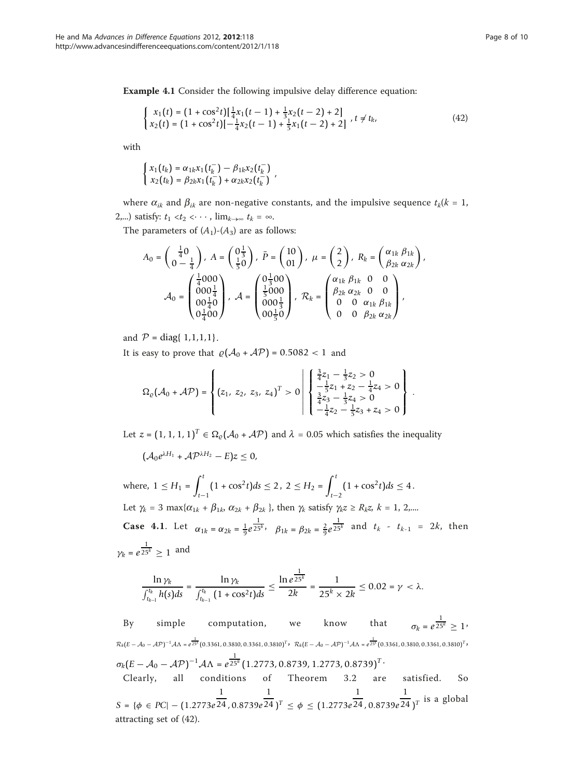Example 4.1 Consider the following impulsive delay difference equation:

$$
\begin{cases}\n x_1(t) = (1 + \cos^2 t) \left[ \frac{1}{4} x_1(t-1) + \frac{1}{3} x_2(t-2) + 2 \right] \\
x_2(t) = (1 + \cos^2 t) \left[ -\frac{1}{4} x_2(t-1) + \frac{1}{5} x_1(t-2) + 2 \right] \\
t \neq t_k,\n\end{cases} \tag{42}
$$

with

$$
\begin{cases} x_1(t_k) = \alpha_{1k} x_1(t_k^-) - \beta_{1k} x_2(t_k^-) \\ x_2(t_k) = \beta_{2k} x_1(t_k^-) + \alpha_{2k} x_2(t_k^-) \end{cases}
$$

where  $\alpha_{ik}$  and  $\beta_{ik}$  are non-negative constants, and the impulsive sequence  $t_k(k = 1,$ 2,...) satisfy:  $t_1 < t_2 < \cdots$ ,  $\lim_{k \to \infty} t_k = \infty$ .

The parameters of  $(A_1)$ - $(A_3)$  are as follows:

$$
A_0 = \begin{pmatrix} \frac{1}{4}0 \\ 0 - \frac{1}{4} \end{pmatrix}, A = \begin{pmatrix} 0\frac{1}{3} \\ \frac{1}{5}0 \end{pmatrix}, \ \bar{P} = \begin{pmatrix} 10 \\ 01 \end{pmatrix}, \ \mu = \begin{pmatrix} 2 \\ 2 \end{pmatrix}, R_k = \begin{pmatrix} \alpha_{1k} \beta_{1k} \\ \beta_{2k} \alpha_{2k} \end{pmatrix},
$$

$$
A_0 = \begin{pmatrix} \frac{1}{4}000 \\ 000\frac{1}{4} \\ 00\frac{1}{4}0 \\ 0\frac{1}{4}00 \end{pmatrix}, A = \begin{pmatrix} 0\frac{1}{3}00 \\ \frac{1}{5}000 \\ 000\frac{1}{3} \\ 0\frac{1}{5}0 \end{pmatrix}, \ \mathcal{R}_k = \begin{pmatrix} \alpha_{1k} \beta_{1k} & 0 & 0 \\ \beta_{2k} \alpha_{2k} & 0 & 0 \\ 0 & 0 & \alpha_{1k} \beta_{1k} \\ 0 & 0 & \beta_{2k} \alpha_{2k} \end{pmatrix},
$$

and  $P = diag\{ 1, 1, 1, 1 \}.$ 

It is easy to prove that  $\rho(A_0 + AP) = 0.5082 < 1$  and

$$
\Omega_{\varrho}(\mathcal{A}_0 + \mathcal{A}\mathcal{P}) = \left\{ (z_1, z_2, z_3, z_4)^T > 0 \middle| \begin{array}{l} \frac{3}{4}z_1 - \frac{1}{3}z_2 > 0 \\ -\frac{1}{5}z_1 + z_2 - \frac{1}{4}z_4 > 0 \\ \frac{3}{4}z_3 - \frac{1}{3}z_4 > 0 \\ -\frac{1}{4}z_2 - \frac{1}{5}z_3 + z_4 > 0 \end{array} \right\}.
$$

Let  $z = (1, 1, 1, 1)^T \in \Omega$ <sub>e</sub>( $\mathcal{A}_0 + \mathcal{A}P$ ) and  $\lambda = 0.05$  which satisfies the inequality

 $(\mathcal{A}_0 e^{\lambda H_1} + \mathcal{A} \mathcal{P}^{\lambda H_2} - E)z \leq 0$ 

where,  $1 \leq H_1$  =  $\int_0^t$  $\int_{t-1}^{t} (1 + \cos^2 t) ds \le 2$ ,  $2 \le H_2 = \int_{t-1}^{t}$  $\int_{t-2}^{t} (1 + \cos^2 t) ds \leq 4.$ Let  $\gamma_k = 3 \max\{\alpha_{1k} + \beta_{1k}, \alpha_{2k} + \beta_{2k}\}\$ , then  $\gamma_k$  satisfy  $\gamma_k z \ge R_k z$ ,  $k = 1, 2, \ldots$ **Case 4.1.** Let  $\alpha_{1k} = \alpha_{2k} = \frac{1}{9}e^{\frac{1}{25^k}}, \quad \beta_{1k} = \beta_{2k} = \frac{2}{9}e^{\frac{1}{25^k}}$  and  $t_k - t_{k-1} = 2k$ , then  $\gamma_k = e^{\frac{1}{25^k}} \geq 1$  and

$$
\frac{\ln \gamma_k}{\int_{t_{k-1}}^{t_k} h(s) ds} = \frac{\ln \gamma_k}{\int_{t_{k-1}}^{t_k} (1 + \cos^2 t) ds} \le \frac{\ln e^{\frac{1}{25^k}}}{2k} = \frac{1}{25^k \times 2k} \le 0.02 = \gamma < \lambda.
$$

By simple computation, we know that  $\frac{1}{25^k} \geq 1$ <sup>,</sup>  $\mathcal{R}_k(E-\mathcal{A}_0-\mathcal{A}\mathcal{P})^{-1}\mathcal{A}\Lambda = e^{\tfrac{1}{25^k}}(0.3361, 0.3810, 0.3361, 0.3810)^T$ ,  $\mathcal{R}_k(E-\mathcal{A}_0-\mathcal{A}\mathcal{P})^{-1}\mathcal{A}\Lambda = e^{\tfrac{1}{25^k}}(0.3361, 0.3810, 0.3361, 0.3810)^T$  $\sigma_k (E - A_0 - \mathcal{A} \mathcal{P})^{-1} \mathcal{A} \Lambda = e^{\frac{1}{25^k}} (1.2773, 0.8739, 1.2773, 0.8739)^T$ Clearly, all conditions of Theorem 3.2 are satisfied. So *S* = {φ ∈ *PC*| − (1.2773*e* 1 24 , 0.8739*e* 1  $(24)^T \leq \phi \leq (1.2773e)$ 1 24 , 0.8739*e*  $\frac{1}{24}$ <sub>*J*</sub><sup>*T*</sup> is a global attracting set of (42).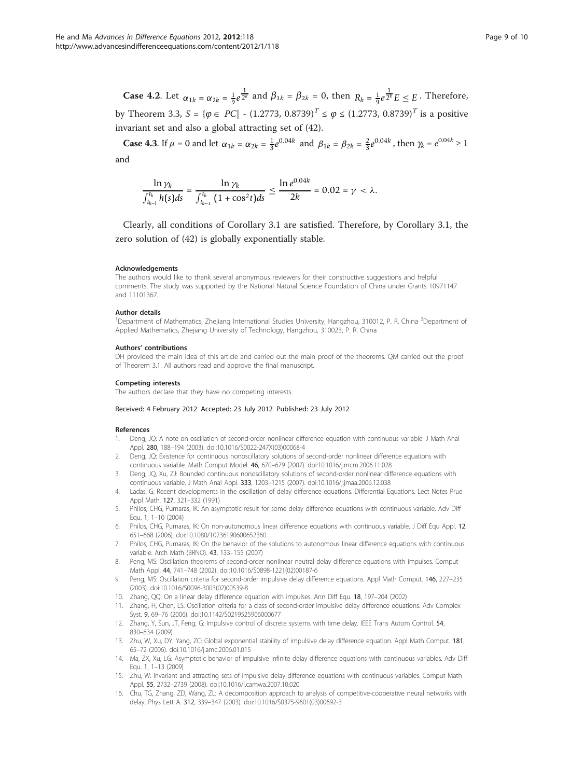<span id="page-8-0"></span>**Case 4.2.** Let  $\alpha_{1k} = \alpha_{2k} = \frac{1}{9}e^{\frac{1}{2^k}}$  and  $\beta_{1k} = \beta_{2k} = 0$ , then  $R_k = \frac{1}{9}e^{\frac{1}{2^k}}E \leq E$ . Therefore, by Theorem 3.3,  $S = {\varphi \in PC}$  -  $(1.2773, 0.8739)^T \le \varphi \le (1.2773, 0.8739)^T$  is a positive invariant set and also a global attracting set of (42).

**Case 4.3.** If  $\mu = 0$  and let  $\alpha_{1k} = \alpha_{2k} = \frac{1}{3}e^{0.04k}$  and  $\beta_{1k} = \beta_{2k} = \frac{2}{3}e^{0.04k}$ , then  $\gamma_k = e^{0.04k} \ge 1$ and

$$
\frac{\ln \gamma_k}{\int_{t_{k-1}}^{t_k} h(s) ds} = \frac{\ln \gamma_k}{\int_{t_{k-1}}^{t_k} (1 + \cos^2 t) ds} \le \frac{\ln e^{0.04k}}{2k} = 0.02 = \gamma < \lambda.
$$

Clearly, all conditions of Corollary 3.1 are satisfied. Therefore, by Corollary 3.1, the zero solution of (42) is globally exponentially stable.

### Acknowledgements

The authors would like to thank several anonymous reviewers for their constructive suggestions and helpful comments. The study was supported by the National Natural Science Foundation of China under Grants 10971147 and 11101367.

#### Author details

<sup>1</sup>Department of Mathematics, Zhejiang International Studies University, Hangzhou, 310012, P. R. China <sup>2</sup>Department of Applied Mathematics, Zhejiang University of Technology, Hangzhou, 310023, P. R. China

#### Authors' contributions

DH provided the main idea of this article and carried out the main proof of the theorems. QM carried out the proof of Theorem 3.1. All authors read and approve the final manuscript.

#### Competing interests

The authors declare that they have no competing interests.

### Received: 4 February 2012 Accepted: 23 July 2012 Published: 23 July 2012

#### References

- 1. Deng, JQ: A note on oscillation of second-order nonlinear difference equation with continuous variable. J Math Anal Appl. 280, 188–194 (2003). doi:10.1016/S0022-247X(03)00068-4
- 2. Deng, JQ: Existence for continuous nonoscillatory solutions of second-order nonlinear difference equations with continuous variable. Math Comput Model. 46, 670–679 (2007). doi:10.1016/j.mcm.2006.11.028
- 3. Deng, JQ, Xu, ZJ: Bounded continuous nonoscillatory solutions of second-order nonlinear difference equations with continuous variable. J Math Anal Appl. 333, 1203–1215 (2007). doi:10.1016/j.jmaa.2006.12.038
- 4. Ladas, G: Recent developments in the oscillation of delay difference equations. Differential Equations. Lect Notes Prue Appl Math. 127, 321–332 (1991)
- 5. Philos, CHG, Purnaras, IK: An asymptotic result for some delay difference equations with continuous variable. Adv Diff Equ. 1, 1–10 (2004)
- 6. Philos, CHG, Purnaras, IK: On non-autonomous linear difference equations with continuous variable. J Diff Equ Appl. 12, 651–668 (2006). doi:10.1080/10236190600652360
- Philos, CHG, Purnaras, IK: On the behavior of the solutions to autonomous linear difference equations with continuous variable. Arch Math (BRNO). 43, 133–155 (2007)
- 8. Peng, MS: Oscillation theorems of second-order nonlinear neutral delay difference equations with impulses. Comput Math Appl. 44, 741–748 (2002). doi:10.1016/S0898-1221(02)00187-6
- 9. Peng, MS: Oscillation criteria for second-order impulsive delay difference equations. Appl Math Comput. 146, 227–235 (2003). doi:10.1016/S0096-3003(02)00539-8
- 10. Zhang, QQ: On a linear delay difference equation with impulses. Ann Diff Equ. 18, 197–204 (2002)
- 11. Zhang, H, Chen, LS: Oscillation criteria for a class of second-order impulsive delay difference equations. Adv Complex Syst. 9, 69–76 (2006). doi:10.1142/S0219525906000677
- 12. Zhang, Y, Sun, JT, Feng, G: Impulsive control of discrete systems with time delay. IEEE Trans Autom Control. 54, 830–834 (2009)
- 13. Zhu, W, Xu, DY, Yang, ZC: Global exponential stability of impulsive delay difference equation. Appl Math Comput. 181, 65–72 (2006). doi:10.1016/j.amc.2006.01.015
- 14. Ma, ZX, Xu, LG: Asymptotic behavior of impulsive infinite delay difference equations with continuous variables. Adv Diff Equ. 1, 1–13 (2009)
- 15. Zhu, W: Invariant and attracting sets of impulsive delay difference equations with continuous variables. Comput Math Appl. 55, 2732–2739 (2008). doi:10.1016/j.camwa.2007.10.020
- 16. Chu, TG, Zhang, ZD, Wang, ZL: A decomposition approach to analysis of competitive-cooperative neural networks with delay. Phys Lett A. 312, 339–347 (2003). doi:10.1016/S0375-9601(03)00692-3